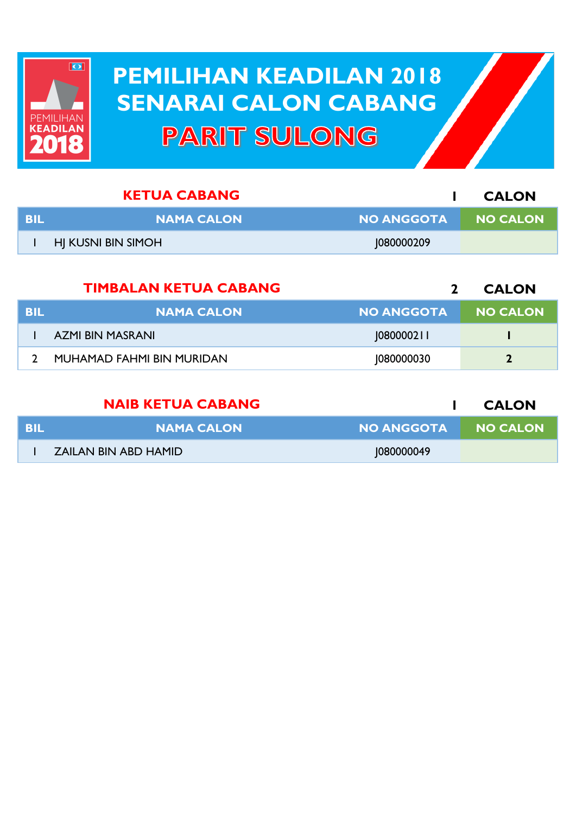

## **PEMILIHAN KEADILAN 2018 PEMILIHAN KEADILAN 2018 SENARAI CALON CABANG SENARAI CALON CABANGPARIT SULONG**

|     | <b>KETUA CABANG</b> |                     | <b>CALON</b> |
|-----|---------------------|---------------------|--------------|
| BIL | <b>NAMA CALON</b>   | NO ANGGOTA NO CALON |              |
|     | HJ KUSNI BIN SIMOH  | 1080000209          |              |

|            | <b>TIMBALAN KETUA CABANG</b>     |                   | <b>CALON</b>    |
|------------|----------------------------------|-------------------|-----------------|
| <b>BIL</b> | <b>NAMA CALON</b>                | <b>NO ANGGOTA</b> | <b>NO CALON</b> |
|            | AZMI BIN MASRANI                 | 0800002           |                 |
|            | <b>MUHAMAD FAHMI BIN MURIDAN</b> | 1080000030        | $\mathbf{2}$    |

|      | <b>NAIB KETUA CABANG</b> |                     | <b>CALON</b> |
|------|--------------------------|---------------------|--------------|
| -BIL | <b>NAMA CALON</b>        | NO ANGGOTA NO CALON |              |
|      | ZAILAN BIN ABD HAMID     | 1080000049          |              |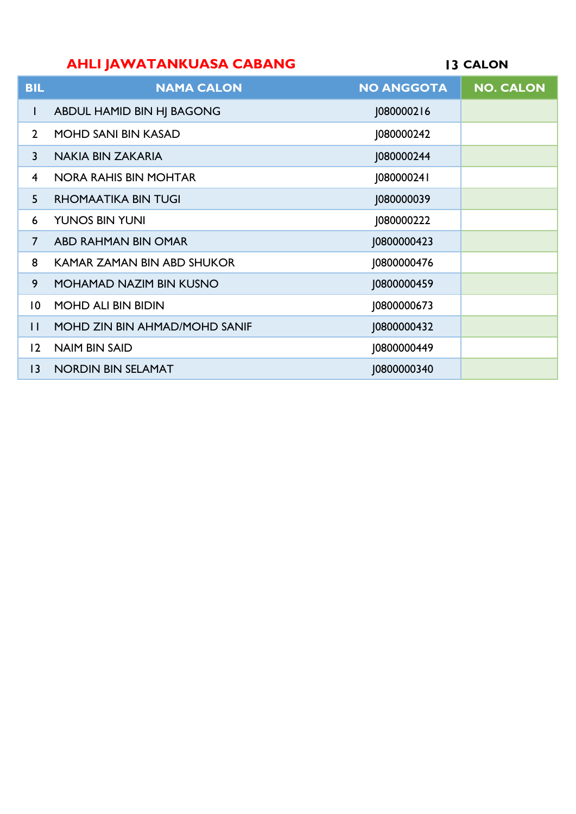## **AHLI JAWATANKUASA CABANG**

**CALON**

| <b>BIL</b>      | <b>NAMA CALON</b>              | <b>NO ANGGOTA</b> | <b>NO. CALON</b> |
|-----------------|--------------------------------|-------------------|------------------|
| $\mathbf{I}$    | ABDUL HAMID BIN HJ BAGONG      | J080000216        |                  |
| $\overline{2}$  | <b>MOHD SANI BIN KASAD</b>     | J080000242        |                  |
| 3               | NAKIA BIN ZAKARIA              | J080000244        |                  |
| $\overline{4}$  | <b>NORA RAHIS BIN MOHTAR</b>   | J080000241        |                  |
| 5               | <b>RHOMAATIKA BIN TUGI</b>     | J080000039        |                  |
| 6               | <b>YUNOS BIN YUNI</b>          | J080000222        |                  |
| $\overline{7}$  | ABD RAHMAN BIN OMAR            | J0800000423       |                  |
| 8               | KAMAR ZAMAN BIN ABD SHUKOR     | J0800000476       |                  |
| 9               | <b>MOHAMAD NAZIM BIN KUSNO</b> | 10800000459       |                  |
| $\overline{10}$ | <b>MOHD ALI BIN BIDIN</b>      | J0800000673       |                  |
| $\mathsf{H}$    | MOHD ZIN BIN AHMAD/MOHD SANIF  | J0800000432       |                  |
| 12              | <b>NAIM BIN SAID</b>           | 10800000449       |                  |
| $ 3\rangle$     | <b>NORDIN BIN SELAMAT</b>      | 10800000340       |                  |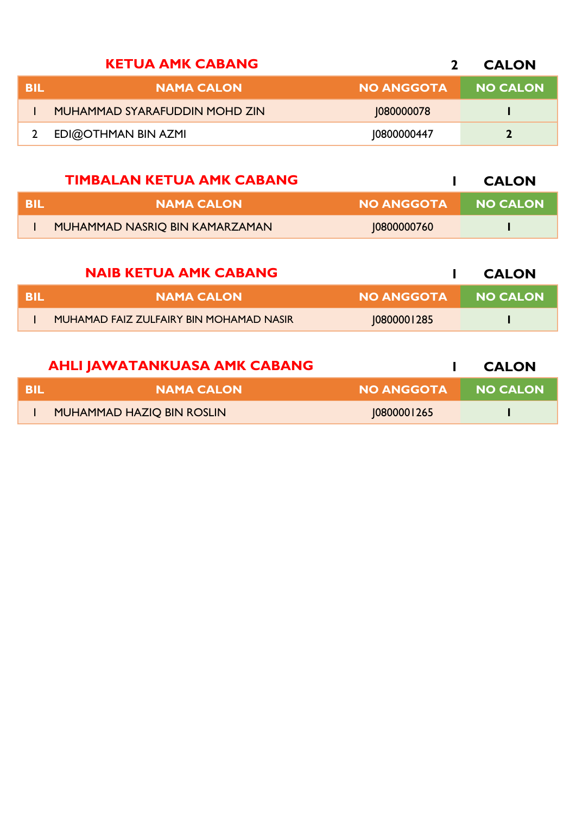|     | <b>KETUA AMK CABANG</b>       |                   | <b>CALON</b>    |
|-----|-------------------------------|-------------------|-----------------|
| BIL | <b>NAMA CALON</b>             | <b>NO ANGGOTA</b> | <b>NO CALON</b> |
|     | MUHAMMAD SYARAFUDDIN MOHD ZIN | 1080000078        |                 |
|     | EDI@OTHMAN BIN AZMI           | 10800000447       |                 |

| <b>NO ANGGOTA</b><br><b>NAMA CALON</b>        | <b>NO CALON</b> |
|-----------------------------------------------|-----------------|
| MUHAMMAD NASRIQ BIN KAMARZAMAN<br>10800000760 |                 |

|      | <b>NAIB KETUA AMK CABANG</b>            |             | <b>CALON</b> |
|------|-----------------------------------------|-------------|--------------|
| -BIL | <b>NAMA CALON</b>                       | NO ANGGOTA  | NO CALON     |
|      | MUHAMAD FAIZ ZULFAIRY BIN MOHAMAD NASIR | 10800001285 |              |

|     | <b>AHLI JAWATANKUASA AMK CABANG</b> |                   | <b>CALON</b>    |
|-----|-------------------------------------|-------------------|-----------------|
| BIL | <b>NAMA CALON</b>                   | <b>NO ANGGOTA</b> | <b>NO CALON</b> |
|     | MUHAMMAD HAZIQ BIN ROSLIN           | 10800001265       |                 |